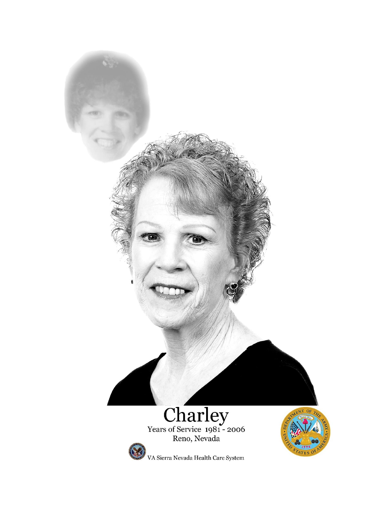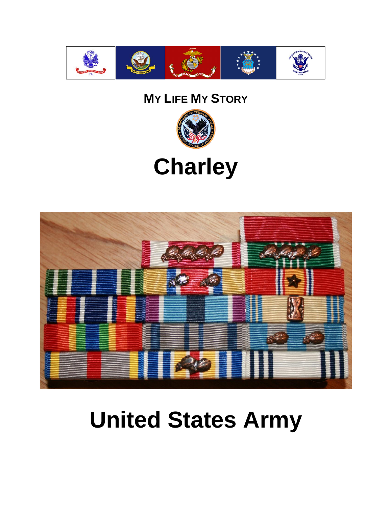

#### **MY LIFE MY STORY**



# **Charley**



# **United States Army**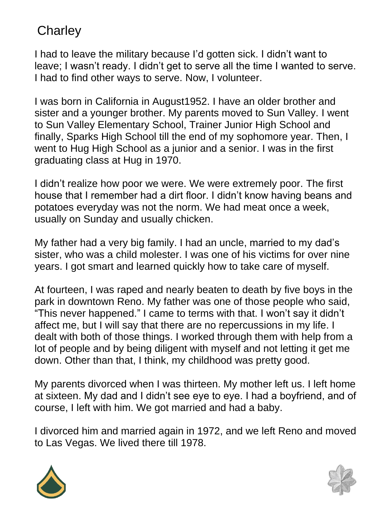I had to leave the military because I'd gotten sick. I didn't want to leave; I wasn't ready. I didn't get to serve all the time I wanted to serve. I had to find other ways to serve. Now, I volunteer.

I was born in California in August1952. I have an older brother and sister and a younger brother. My parents moved to Sun Valley. I went to Sun Valley Elementary School, Trainer Junior High School and finally, Sparks High School till the end of my sophomore year. Then, I went to Hug High School as a junior and a senior. I was in the first graduating class at Hug in 1970.

I didn't realize how poor we were. We were extremely poor. The first house that I remember had a dirt floor. I didn't know having beans and potatoes everyday was not the norm. We had meat once a week, usually on Sunday and usually chicken.

My father had a very big family. I had an uncle, married to my dad's sister, who was a child molester. I was one of his victims for over nine years. I got smart and learned quickly how to take care of myself.

At fourteen, I was raped and nearly beaten to death by five boys in the park in downtown Reno. My father was one of those people who said, "This never happened." I came to terms with that. I won't say it didn't affect me, but I will say that there are no repercussions in my life. I dealt with both of those things. I worked through them with help from a lot of people and by being diligent with myself and not letting it get me down. Other than that, I think, my childhood was pretty good.

My parents divorced when I was thirteen. My mother left us. I left home at sixteen. My dad and I didn't see eye to eye. I had a boyfriend, and of course, I left with him. We got married and had a baby.

I divorced him and married again in 1972, and we left Reno and moved to Las Vegas. We lived there till 1978.



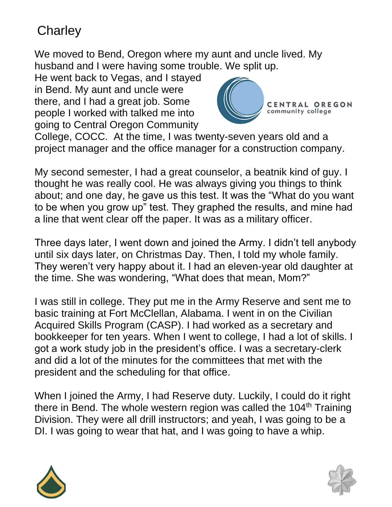We moved to Bend, Oregon where my aunt and uncle lived. My husband and I were having some trouble. We split up.

He went back to Vegas, and I stayed in Bend. My aunt and uncle were there, and I had a great job. Some people I worked with talked me into going to Central Oregon Community



College, COCC. At the time, I was twenty-seven years old and a project manager and the office manager for a construction company.

My second semester, I had a great counselor, a beatnik kind of guy. I thought he was really cool. He was always giving you things to think about; and one day, he gave us this test. It was the "What do you want to be when you grow up" test. They graphed the results, and mine had a line that went clear off the paper. It was as a military officer.

Three days later, I went down and joined the Army. I didn't tell anybody until six days later, on Christmas Day. Then, I told my whole family. They weren't very happy about it. I had an eleven-year old daughter at the time. She was wondering, "What does that mean, Mom?"

I was still in college. They put me in the Army Reserve and sent me to basic training at Fort McClellan, Alabama. I went in on the Civilian Acquired Skills Program (CASP). I had worked as a secretary and bookkeeper for ten years. When I went to college, I had a lot of skills. I got a work study job in the president's office. I was a secretary-clerk and did a lot of the minutes for the committees that met with the president and the scheduling for that office.

When I joined the Army, I had Reserve duty. Luckily, I could do it right there in Bend. The whole western region was called the 104<sup>th</sup> Training Division. They were all drill instructors; and yeah, I was going to be a DI. I was going to wear that hat, and I was going to have a whip.



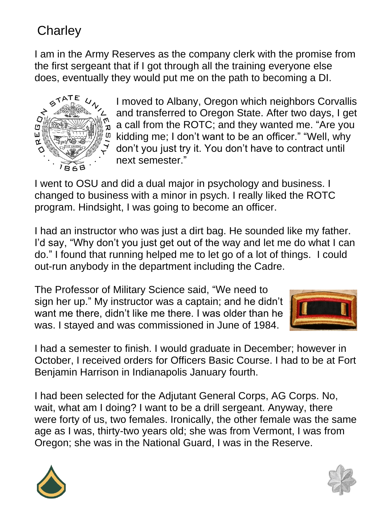I am in the Army Reserves as the company clerk with the promise from the first sergeant that if I got through all the training everyone else does, eventually they would put me on the path to becoming a DI.



I moved to Albany, Oregon which neighbors Corvallis and transferred to Oregon State. After two days, I get a call from the ROTC; and they wanted me. "Are you kidding me; I don't want to be an officer." "Well, why don't you just try it. You don't have to contract until next semester."

I went to OSU and did a dual major in psychology and business. I changed to business with a minor in psych. I really liked the ROTC program. Hindsight, I was going to become an officer.

I had an instructor who was just a dirt bag. He sounded like my father. I'd say, "Why don't you just get out of the way and let me do what I can do." I found that running helped me to let go of a lot of things. I could out-run anybody in the department including the Cadre.

The Professor of Military Science said, "We need to sign her up." My instructor was a captain; and he didn't want me there, didn't like me there. I was older than he was. I stayed and was commissioned in June of 1984.



I had a semester to finish. I would graduate in December; however in October, I received orders for Officers Basic Course. I had to be at Fort Benjamin Harrison in Indianapolis January fourth.

I had been selected for the Adjutant General Corps, AG Corps. No, wait, what am I doing? I want to be a drill sergeant. Anyway, there were forty of us, two females. Ironically, the other female was the same age as I was, thirty-two years old; she was from Vermont, I was from Oregon; she was in the National Guard, I was in the Reserve.



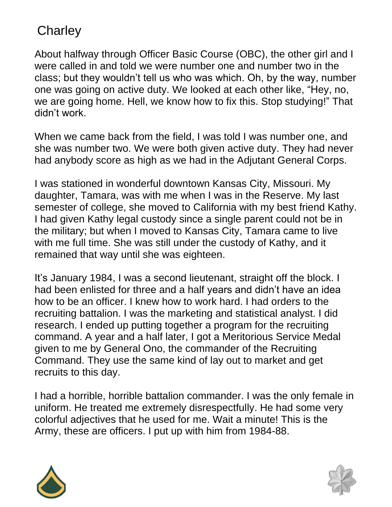About halfway through Officer Basic Course (OBC), the other girl and I were called in and told we were number one and number two in the class; but they wouldn't tell us who was which. Oh, by the way, number one was going on active duty. We looked at each other like, "Hey, no, we are going home. Hell, we know how to fix this. Stop studying!" That didn't work.

When we came back from the field, I was told I was number one, and she was number two. We were both given active duty. They had never had anybody score as high as we had in the Adjutant General Corps.

I was stationed in wonderful downtown Kansas City, Missouri. My daughter, Tamara, was with me when I was in the Reserve. My last semester of college, she moved to California with my best friend Kathy. I had given Kathy legal custody since a single parent could not be in the military; but when I moved to Kansas City, Tamara came to live with me full time. She was still under the custody of Kathy, and it remained that way until she was eighteen.

It's January 1984, I was a second lieutenant, straight off the block. I had been enlisted for three and a half years and didn't have an idea how to be an officer. I knew how to work hard. I had orders to the recruiting battalion. I was the marketing and statistical analyst. I did research. I ended up putting together a program for the recruiting command. A year and a half later, I got a Meritorious Service Medal given to me by General Ono, the commander of the Recruiting Command. They use the same kind of lay out to market and get recruits to this day.

I had a horrible, horrible battalion commander. I was the only female in uniform. He treated me extremely disrespectfully. He had some very colorful adjectives that he used for me. Wait a minute! This is the Army, these are officers. I put up with him from 1984-88.



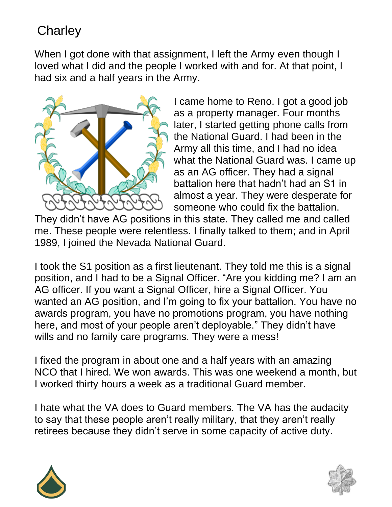When I got done with that assignment, I left the Army even though I loved what I did and the people I worked with and for. At that point, I had six and a half years in the Army.



I came home to Reno. I got a good job as a property manager. Four months later, I started getting phone calls from the National Guard. I had been in the Army all this time, and I had no idea what the National Guard was. I came up as an AG officer. They had a signal battalion here that hadn't had an S1 in almost a year. They were desperate for someone who could fix the battalion.

They didn't have AG positions in this state. They called me and called me. These people were relentless. I finally talked to them; and in April 1989, I joined the Nevada National Guard.

I took the S1 position as a first lieutenant. They told me this is a signal position, and I had to be a Signal Officer. "Are you kidding me? I am an AG officer. If you want a Signal Officer, hire a Signal Officer. You wanted an AG position, and I'm going to fix your battalion. You have no awards program, you have no promotions program, you have nothing here, and most of your people aren't deployable." They didn't have wills and no family care programs. They were a mess!

I fixed the program in about one and a half years with an amazing NCO that I hired. We won awards. This was one weekend a month, but I worked thirty hours a week as a traditional Guard member.

I hate what the VA does to Guard members. The VA has the audacity to say that these people aren't really military, that they aren't really retirees because they didn't serve in some capacity of active duty.



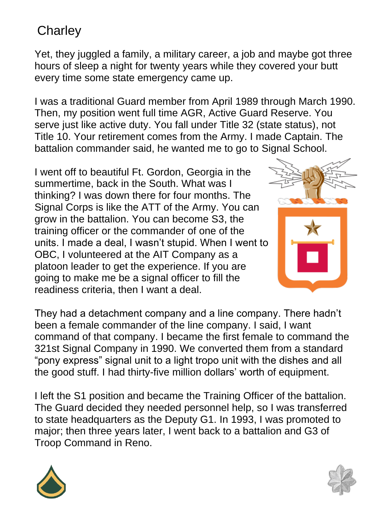Yet, they juggled a family, a military career, a job and maybe got three hours of sleep a night for twenty years while they covered your butt every time some state emergency came up.

I was a traditional Guard member from April 1989 through March 1990. Then, my position went full time AGR, Active Guard Reserve. You serve just like active duty. You fall under Title 32 (state status), not Title 10. Your retirement comes from the Army. I made Captain. The battalion commander said, he wanted me to go to Signal School.

I went off to beautiful Ft. Gordon, Georgia in the summertime, back in the South. What was I thinking? I was down there for four months. The Signal Corps is like the ATT of the Army. You can grow in the battalion. You can become S3, the training officer or the commander of one of the units. I made a deal, I wasn't stupid. When I went to OBC, I volunteered at the AIT Company as a platoon leader to get the experience. If you are going to make me be a signal officer to fill the readiness criteria, then I want a deal.



They had a detachment company and a line company. There hadn't been a female commander of the line company. I said, I want command of that company. I became the first female to command the 321st Signal Company in 1990. We converted them from a standard "pony express" signal unit to a light tropo unit with the dishes and all the good stuff. I had thirty-five million dollars' worth of equipment.

I left the S1 position and became the Training Officer of the battalion. The Guard decided they needed personnel help, so I was transferred to state headquarters as the Deputy G1. In 1993, I was promoted to major; then three years later, I went back to a battalion and G3 of Troop Command in Reno.



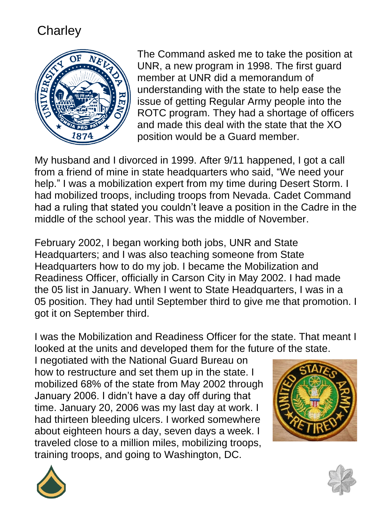

The Command asked me to take the position at UNR, a new program in 1998. The first guard member at UNR did a memorandum of understanding with the state to help ease the issue of getting Regular Army people into the ROTC program. They had a shortage of officers and made this deal with the state that the XO position would be a Guard member.

My husband and I divorced in 1999. After 9/11 happened, I got a call from a friend of mine in state headquarters who said, "We need your help." I was a mobilization expert from my time during Desert Storm. I had mobilized troops, including troops from Nevada. Cadet Command had a ruling that stated you couldn't leave a position in the Cadre in the middle of the school year. This was the middle of November.

February 2002, I began working both jobs, UNR and State Headquarters; and I was also teaching someone from State Headquarters how to do my job. I became the Mobilization and Readiness Officer, officially in Carson City in May 2002. I had made the 05 list in January. When I went to State Headquarters, I was in a 05 position. They had until September third to give me that promotion. I got it on September third.

I was the Mobilization and Readiness Officer for the state. That meant I looked at the units and developed them for the future of the state.

I negotiated with the National Guard Bureau on how to restructure and set them up in the state. I mobilized 68% of the state from May 2002 through January 2006. I didn't have a day off during that time. January 20, 2006 was my last day at work. I had thirteen bleeding ulcers. I worked somewhere about eighteen hours a day, seven days a week. I traveled close to a million miles, mobilizing troops, training troops, and going to Washington, DC.





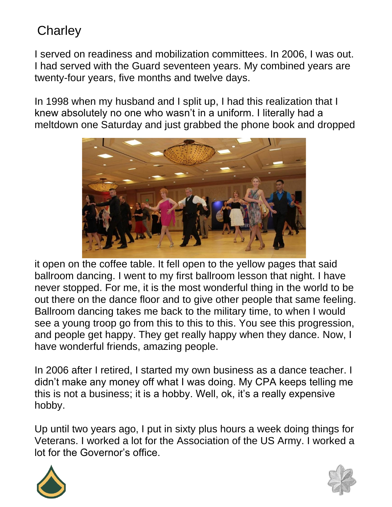I served on readiness and mobilization committees. In 2006, I was out. I had served with the Guard seventeen years. My combined years are twenty-four years, five months and twelve days.

In 1998 when my husband and I split up, I had this realization that I knew absolutely no one who wasn't in a uniform. I literally had a meltdown one Saturday and just grabbed the phone book and dropped



it open on the coffee table. It fell open to the yellow pages that said ballroom dancing. I went to my first ballroom lesson that night. I have never stopped. For me, it is the most wonderful thing in the world to be out there on the dance floor and to give other people that same feeling. Ballroom dancing takes me back to the military time, to when I would see a young troop go from this to this to this. You see this progression, and people get happy. They get really happy when they dance. Now, I have wonderful friends, amazing people.

In 2006 after I retired, I started my own business as a dance teacher. I didn't make any money off what I was doing. My CPA keeps telling me this is not a business; it is a hobby. Well, ok, it's a really expensive hobby.

Up until two years ago, I put in sixty plus hours a week doing things for Veterans. I worked a lot for the Association of the US Army. I worked a lot for the Governor's office.